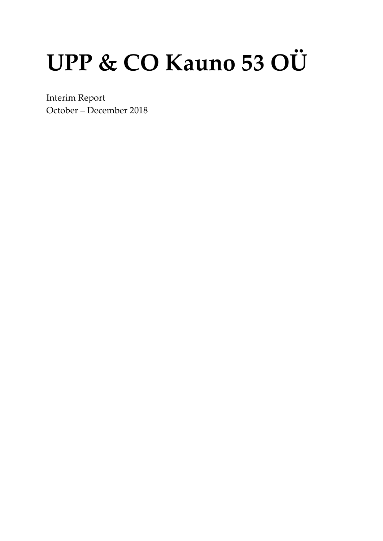# UPP & CO Kauno 53 OÜ

Interim Report October – December 2018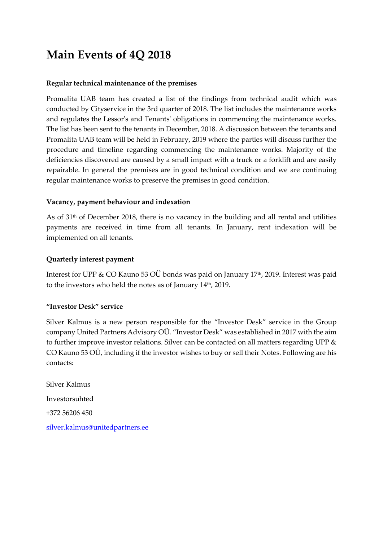## **Main Events of 4Q 2018**

#### **Regular technical maintenance of the premises**

Promalita UAB team has created a list of the findings from technical audit which was conducted by Cityservice in the 3rd quarter of 2018. The list includes the maintenance works and regulates the Lessor's and Tenants' obligations in commencing the maintenance works. The list has been sent to the tenants in December, 2018. A discussion between the tenants and Promalita UAB team will be held in February, 2019 where the parties will discuss further the procedure and timeline regarding commencing the maintenance works. Majority of the deficiencies discovered are caused by a small impact with a truck or a forklift and are easily repairable. In general the premises are in good technical condition and we are continuing regular maintenance works to preserve the premises in good condition.

#### **Vacancy, payment behaviour and indexation**

As of  $31<sup>th</sup>$  of December 2018, there is no vacancy in the building and all rental and utilities payments are received in time from all tenants. In January, rent indexation will be implemented on all tenants.

#### **Quarterly interest payment**

Interest for UPP & CO Kauno 53 OÜ bonds was paid on January 17<sup>th</sup>, 2019. Interest was paid to the investors who held the notes as of January 14<sup>th</sup>, 2019.

#### **"Investor Desk" service**

Silver Kalmus is a new person responsible for the "Investor Desk" service in the Group company United Partners Advisory OÜ. "Investor Desk" was established in 2017 with the aim to further improve investor relations. Silver can be contacted on all matters regarding UPP & CO Kauno 53 OÜ, including if the investor wishes to buy or sell their Notes. Following are his contacts:

Silver Kalmus Investorsuhted +372 56206 450 [silver.kalmus@unitedpartners.ee](mailto:glen.madis@unitedpartners.ee)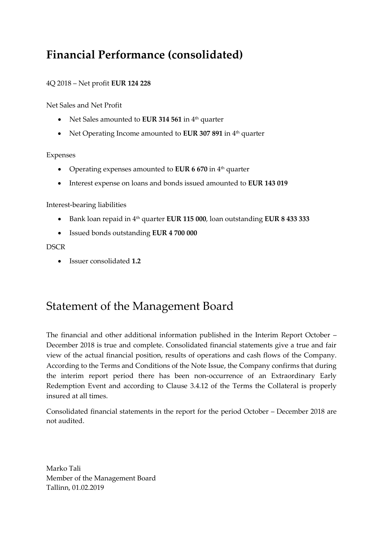## **Financial Performance (consolidated)**

#### 4Q 2018 – Net profit **EUR 124 228**

Net Sales and Net Profit

- Net Sales amounted to **EUR 314 561** in 4<sup>th</sup> quarter
- Net Operating Income amounted to **EUR 307 891** in 4<sup>th</sup> quarter

#### Expenses

- Operating expenses amounted to **EUR 6 670** in 4<sup>th</sup> quarter
- Interest expense on loans and bonds issued amounted to **EUR 143 019**

#### Interest-bearing liabilities

- Bank loan repaid in 4th quarter **EUR 115 000**, loan outstanding **EUR 8 433 333**
- Issued bonds outstanding **EUR 4 700 000**

#### **DSCR**

• Issuer consolidated **1.2**

### Statement of the Management Board

The financial and other additional information published in the Interim Report October – December 2018 is true and complete. Consolidated financial statements give a true and fair view of the actual financial position, results of operations and cash flows of the Company. According to the Terms and Conditions of the Note Issue, the Company confirms that during the interim report period there has been non-occurrence of an Extraordinary Early Redemption Event and according to Clause 3.4.12 of the Terms the Collateral is properly insured at all times.

Consolidated financial statements in the report for the period October – December 2018 are not audited.

Marko Tali Member of the Management Board Tallinn, 01.02.2019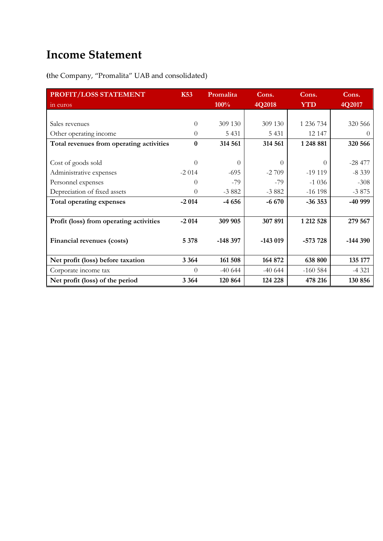# **Income Statement**

**(**the Company, "Promalita" UAB and consolidated)

| PROFIT/LOSS STATEMENT                    | <b>K53</b> | Promalita | Cons.     | Cons.      | Cons.     |
|------------------------------------------|------------|-----------|-----------|------------|-----------|
| in euros                                 |            | 100%      | 4Q2018    | <b>YTD</b> | 4Q2017    |
|                                          |            |           |           |            |           |
| Sales revenues                           | $\theta$   | 309 130   | 309 130   | 1 236 734  | 320 566   |
| Other operating income                   | $\theta$   | 5 4 3 1   | 5 4 3 1   | 12 147     | $\theta$  |
| Total revenues from operating activities | 0          | 314 561   | 314 561   | 1248 881   | 320 566   |
|                                          |            |           |           |            |           |
| Cost of goods sold                       | 0          | $\Omega$  | $\Omega$  | $\theta$   | $-28477$  |
| Administrative expenses                  | $-2014$    | $-695$    | $-2709$   | $-19119$   | $-8339$   |
| Personnel expenses                       | $\theta$   | $-79$     | $-79$     | $-1036$    | $-308$    |
| Depreciation of fixed assets             | $\theta$   | $-3882$   | $-3882$   | $-16198$   | $-3875$   |
| Total operating expenses                 | $-2014$    | $-4656$   | $-6670$   | $-36353$   | -40 999   |
|                                          |            |           |           |            |           |
| Profit (loss) from operating activities  | $-2014$    | 309 905   | 307 891   | 1 212 528  | 279 567   |
|                                          |            |           |           |            |           |
| Financial revenues (costs)               | 5 3 7 8    | $-148397$ | $-143019$ | $-573728$  | $-144390$ |
|                                          |            |           |           |            |           |
| Net profit (loss) before taxation        | 3 3 6 4    | 161 508   | 164 872   | 638 800    | 135 177   |
| Corporate income tax                     | $\theta$   | $-40644$  | $-40644$  | $-160584$  | $-4321$   |
| Net profit (loss) of the period          | 3 3 6 4    | 120 864   | 124 228   | 478 216    | 130 856   |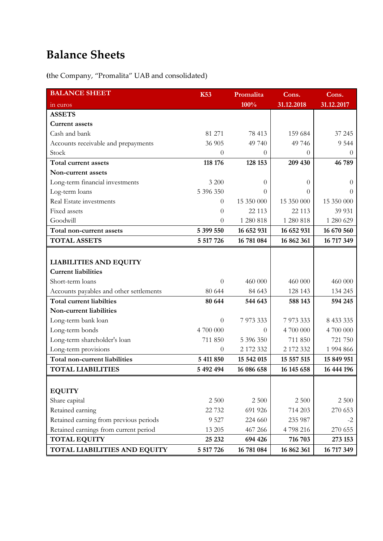# **Balance Sheets**

**(**the Company, "Promalita" UAB and consolidated)

| <b>BALANCE SHEET</b>                    | <b>K53</b> | Promalita  | Cons.      | Cons.      |
|-----------------------------------------|------------|------------|------------|------------|
| in euros                                |            | 100%       | 31.12.2018 | 31.12.2017 |
| <b>ASSETS</b>                           |            |            |            |            |
| <b>Current assets</b>                   |            |            |            |            |
| Cash and bank                           | 81 271     | 78 413     | 159 684    | 37 245     |
| Accounts receivable and prepayments     | 36 905     | 49 740     | 49 746     | 9 5 4 4    |
| Stock                                   | $\theta$   | $\theta$   | $\Omega$   | $\Omega$   |
| Total current assets                    | 118 176    | 128 153    | 209 430    | 46 789     |
| Non-current assets                      |            |            |            |            |
| Long-term financial investments         | 3 200      | $\theta$   | $\theta$   | $\theta$   |
| Log-term loans                          | 5 396 350  | $\Omega$   | 0          | $\Omega$   |
| Real Estate investments                 | $\theta$   | 15 350 000 | 15 350 000 | 15 350 000 |
| Fixed assets                            | $\theta$   | 22 113     | 22 113     | 39 931     |
| Goodwill                                | $\theta$   | 1 280 818  | 1 280 818  | 1 280 629  |
| Total non-current assets                | 5 399 550  | 16 652 931 | 16 652 931 | 16 670 560 |
| <b>TOTAL ASSETS</b>                     | 5 517 726  | 16 781 084 | 16 862 361 | 16 717 349 |
|                                         |            |            |            |            |
| <b>LIABILITIES AND EQUITY</b>           |            |            |            |            |
| <b>Current liabilities</b>              |            |            |            |            |
| Short-term loans                        | $\theta$   | 460 000    | 460 000    | 460 000    |
| Accounts payables and other settlements | 80 644     | 84 643     | 128 143    | 134 245    |
| <b>Total current liabilties</b>         | 80 644     | 544 643    | 588 143    | 594 245    |
| Non-current liabilities                 |            |            |            |            |
| Long-term bank loan                     | $\theta$   | 7 973 333  | 7 973 333  | 8 433 335  |
| Long-term bonds                         | 4 700 000  | $\theta$   | 4 700 000  | 4 700 000  |
| Long-term shareholder's loan            | 711 850    | 5 396 350  | 711 850    | 721 750    |
| Long-term provisions                    | $\theta$   | 2 172 332  | 2 172 332  | 1 994 866  |
| Total non-current liabilities           | 5 411 850  | 15 542 015 | 15 557 515 | 15 849 951 |
| <b>TOTAL LIABILITIES</b>                | 5 492 494  | 16 086 658 | 16 145 658 | 16 444 196 |
|                                         |            |            |            |            |
| <b>EQUITY</b>                           |            |            |            |            |
| Share capital                           | 2 500      | 2 5 0 0    | 2 500      | 2 500      |
| Retained earning                        | 22 732     | 691 926    | 714 203    | 270 653    |
| Retained earning from previous periods  | 9 5 27     | 224 660    | 235 987    | $-2$       |
| Retained earnings from current period   | 13 205     | 467 266    | 4798216    | 270 655    |
| <b>TOTAL EQUITY</b>                     | 25 23 2    | 694 426    | 716 703    | 273 153    |
| TOTAL LIABILITIES AND EQUITY            | 5 517 726  | 16 781 084 | 16 862 361 | 16 717 349 |